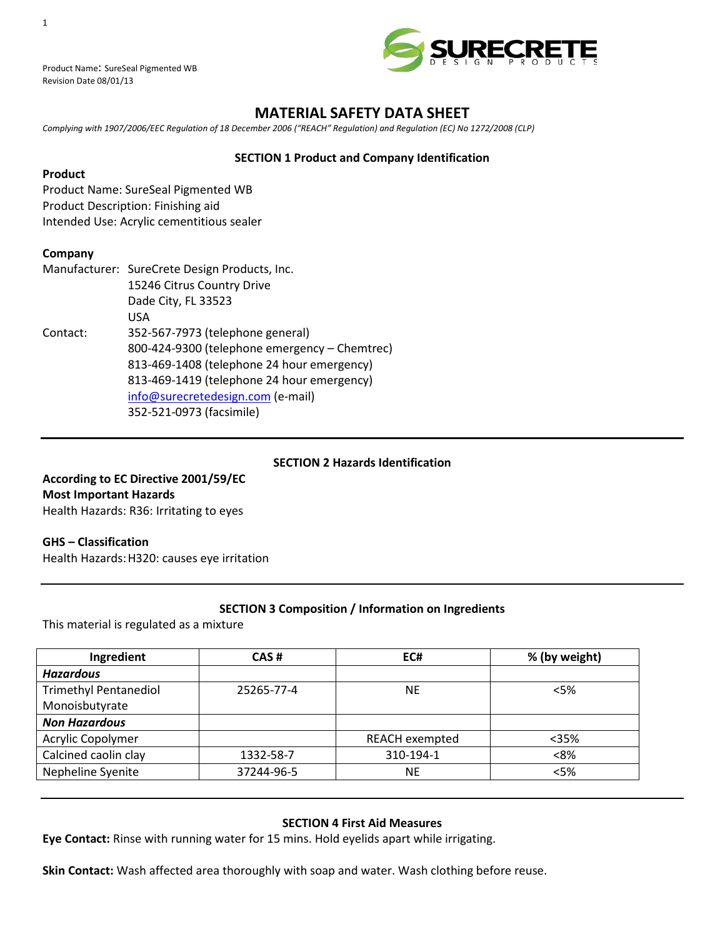

Product Name: SureSeal Pigmented WB Revision Date 08/01/13

# **MATERIAL SAFETY DATA SHEET**

*Complying with 1907/2006/EEC Regulation of 18 December 2006 ("REACH" Regulation) and Regulation (EC) No 1272/2008 (CLP)*

### **SECTION 1 Product and Company Identification**

### **Product**

Product Name: SureSeal Pigmented WB Product Description: Finishing aid Intended Use: Acrylic cementitious sealer

### **Company**

|          | Manufacturer: SureCrete Design Products, Inc. |  |  |  |
|----------|-----------------------------------------------|--|--|--|
|          | 15246 Citrus Country Drive                    |  |  |  |
|          | Dade City, FL 33523                           |  |  |  |
|          | USA                                           |  |  |  |
| Contact: | 352-567-7973 (telephone general)              |  |  |  |
|          | 800-424-9300 (telephone emergency - Chemtrec) |  |  |  |
|          | 813-469-1408 (telephone 24 hour emergency)    |  |  |  |
|          | 813-469-1419 (telephone 24 hour emergency)    |  |  |  |
|          | info@surecretedesign.com (e-mail)             |  |  |  |
|          | 352-521-0973 (facsimile)                      |  |  |  |

### **SECTION 2 Hazards Identification**

**According to EC Directive 2001/59/EC Most Important Hazards** Health Hazards: R36: Irritating to eyes

#### **GHS – Classification**

Health Hazards:H320: causes eye irritation

# **SECTION 3 Composition / Information on Ingredients**

This material is regulated as a mixture

| CAS#       | EC#                   | % (by weight) |
|------------|-----------------------|---------------|
|            |                       |               |
| 25265-77-4 | <b>NE</b>             | < 5%          |
|            |                       |               |
|            |                       |               |
|            | <b>REACH exempted</b> | $35%$         |
| 1332-58-7  | 310-194-1             | < 8%          |
| 37244-96-5 | <b>NE</b>             | < 5%          |
|            |                       |               |

#### **SECTION 4 First Aid Measures**

**Eye Contact:** Rinse with running water for 15 mins. Hold eyelids apart while irrigating.

**Skin Contact:** Wash affected area thoroughly with soap and water. Wash clothing before reuse.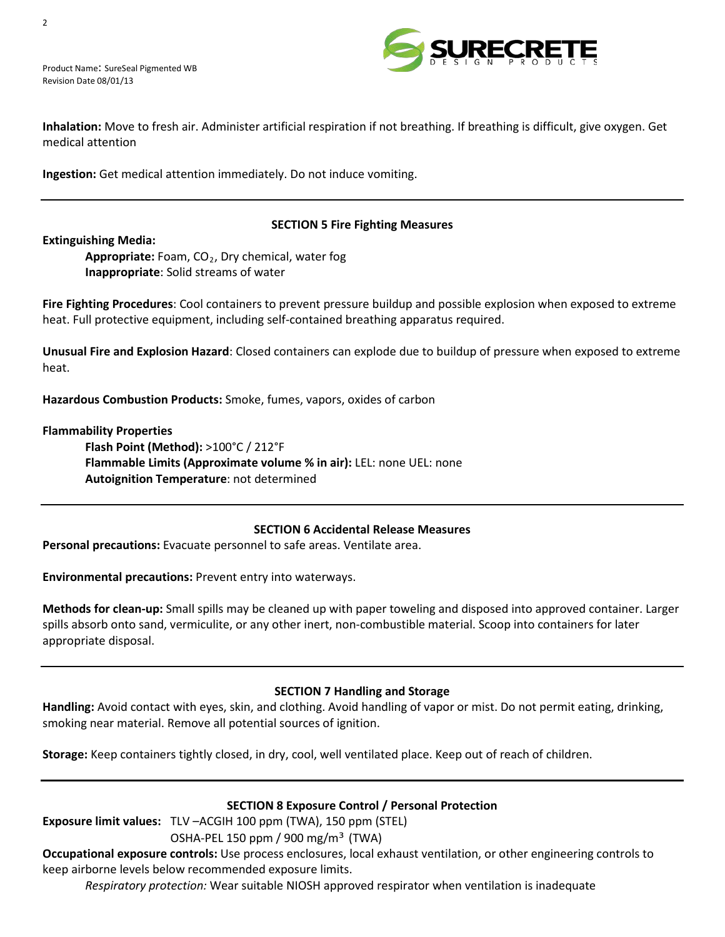

Product Name: SureSeal Pigmented WB Revision Date 08/01/13



**Inhalation:** Move to fresh air. Administer artificial respiration if not breathing. If breathing is difficult, give oxygen. Get medical attention

**Ingestion:** Get medical attention immediately. Do not induce vomiting.

# **SECTION 5 Fire Fighting Measures**

**Extinguishing Media:** 

**Appropriate:** Foam, CO*<sup>R</sup>* <sup>2</sup>*R*, Dry chemical, water fog **Inappropriate**: Solid streams of water

**Fire Fighting Procedures**: Cool containers to prevent pressure buildup and possible explosion when exposed to extreme heat. Full protective equipment, including self-contained breathing apparatus required.

**Unusual Fire and Explosion Hazard**: Closed containers can explode due to buildup of pressure when exposed to extreme heat.

**Hazardous Combustion Products:** Smoke, fumes, vapors, oxides of carbon

#### **Flammability Properties**

**Flash Point (Method):** >100°C / 212°F **Flammable Limits (Approximate volume % in air):** LEL: none UEL: none **Autoignition Temperature**: not determined

#### **SECTION 6 Accidental Release Measures**

**Personal precautions:** Evacuate personnel to safe areas. Ventilate area.

# **Environmental precautions:** Prevent entry into waterways.

**Methods for clean-up:** Small spills may be cleaned up with paper toweling and disposed into approved container. Larger spills absorb onto sand, vermiculite, or any other inert, non-combustible material. Scoop into containers for later appropriate disposal.

#### **SECTION 7 Handling and Storage**

**Handling:** Avoid contact with eyes, skin, and clothing. Avoid handling of vapor or mist. Do not permit eating, drinking, smoking near material. Remove all potential sources of ignition.

**Storage:** Keep containers tightly closed, in dry, cool, well ventilated place. Keep out of reach of children.

#### **SECTION 8 Exposure Control / Personal Protection**

**Exposure limit values:** TLV –ACGIH 100 ppm (TWA), 150 ppm (STEL)

OSHA-PEL 150 ppm / 900 mg/m³ (TWA)

**Occupational exposure controls:** Use process enclosures, local exhaust ventilation, or other engineering controls to keep airborne levels below recommended exposure limits.

*Respiratory protection:* Wear suitable NIOSH approved respirator when ventilation is inadequate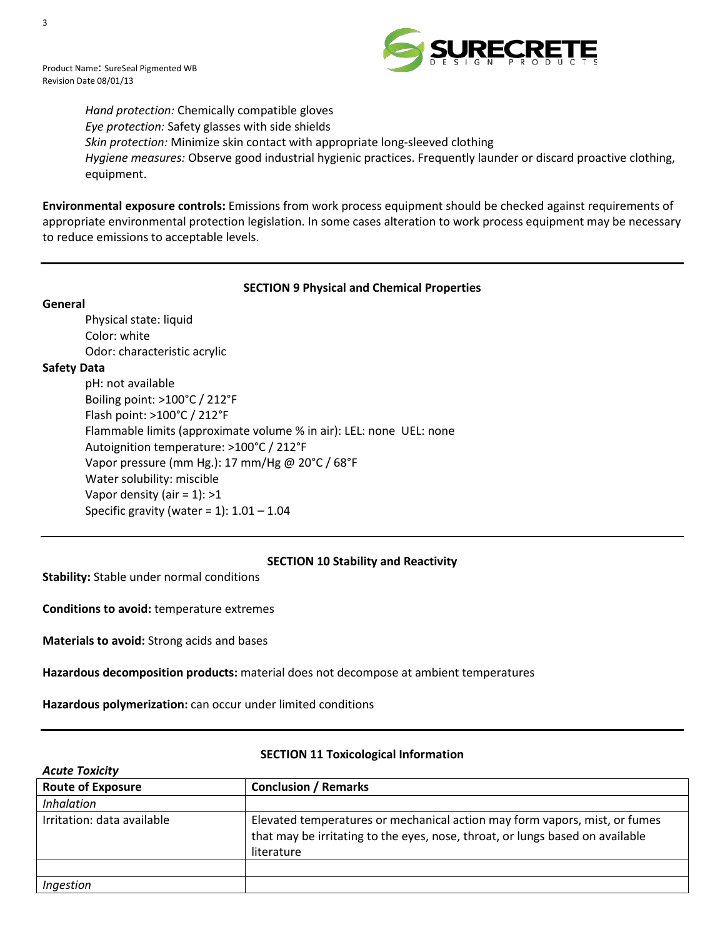



*Hand protection:* Chemically compatible gloves *Eye protection:* Safety glasses with side shields *Skin protection:* Minimize skin contact with appropriate long-sleeved clothing *Hygiene measures:* Observe good industrial hygienic practices. Frequently launder or discard proactive clothing, equipment.

**Environmental exposure controls:** Emissions from work process equipment should be checked against requirements of appropriate environmental protection legislation. In some cases alteration to work process equipment may be necessary to reduce emissions to acceptable levels.

# **SECTION 9 Physical and Chemical Properties**

#### **General**

Physical state: liquid Color: white Odor: characteristic acrylic

# **Safety Data**

pH: not available Boiling point: >100°C / 212°F Flash point: >100°C / 212°F Flammable limits (approximate volume % in air): LEL: none UEL: none Autoignition temperature: >100°C / 212°F Vapor pressure (mm Hg.): 17 mm/Hg @ 20°C / 68°F Water solubility: miscible Vapor density (air =  $1$ ): >1 Specific gravity (water =  $1$ ):  $1.01 - 1.04$ 

# **SECTION 10 Stability and Reactivity**

**Stability:** Stable under normal conditions

**Conditions to avoid:** temperature extremes

**Materials to avoid:** Strong acids and bases

**Hazardous decomposition products:** material does not decompose at ambient temperatures

**Hazardous polymerization:** can occur under limited conditions

| <b>Acute Toxicity</b>      |                                                                                                                                                                           |  |  |  |  |
|----------------------------|---------------------------------------------------------------------------------------------------------------------------------------------------------------------------|--|--|--|--|
| <b>Route of Exposure</b>   | <b>Conclusion / Remarks</b>                                                                                                                                               |  |  |  |  |
| <i>Inhalation</i>          |                                                                                                                                                                           |  |  |  |  |
| Irritation: data available | Elevated temperatures or mechanical action may form vapors, mist, or fumes<br>that may be irritating to the eyes, nose, throat, or lungs based on available<br>literature |  |  |  |  |
|                            |                                                                                                                                                                           |  |  |  |  |
| Ingestion                  |                                                                                                                                                                           |  |  |  |  |

# **SECTION 11 Toxicological Information**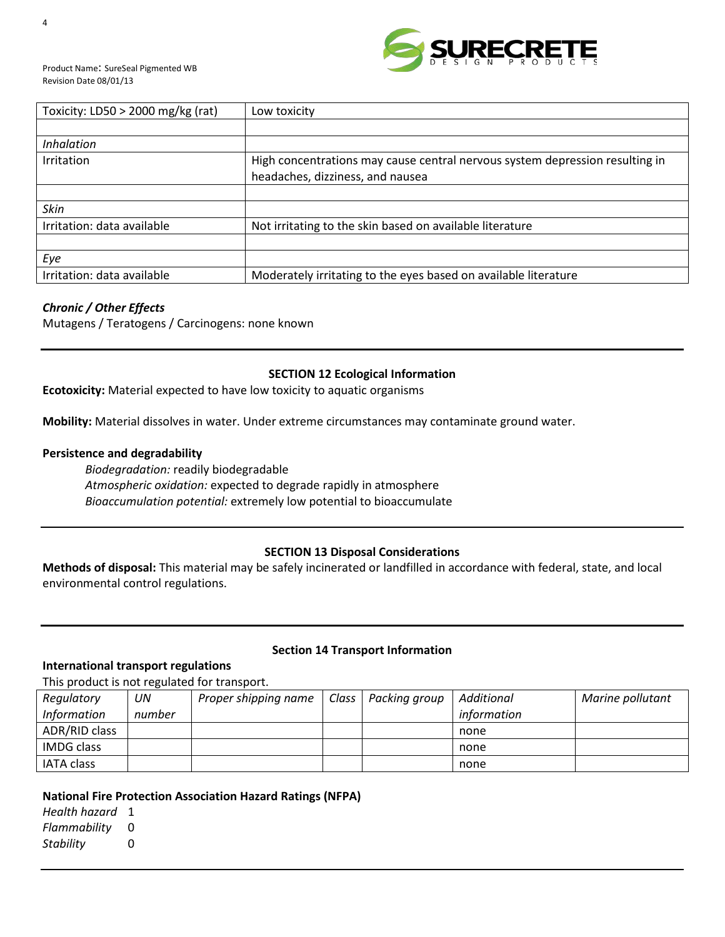

| Toxicity: $LD50 > 2000$ mg/kg (rat) | Low toxicity                                                                 |
|-------------------------------------|------------------------------------------------------------------------------|
|                                     |                                                                              |
| <i>Inhalation</i>                   |                                                                              |
| Irritation                          | High concentrations may cause central nervous system depression resulting in |
|                                     | headaches, dizziness, and nausea                                             |
|                                     |                                                                              |
| <b>Skin</b>                         |                                                                              |
| Irritation: data available          | Not irritating to the skin based on available literature                     |
|                                     |                                                                              |
| Eye                                 |                                                                              |
| Irritation: data available          | Moderately irritating to the eyes based on available literature              |

# *Chronic / Other Effects*

Mutagens / Teratogens / Carcinogens: none known

# **SECTION 12 Ecological Information**

**Ecotoxicity:** Material expected to have low toxicity to aquatic organisms

**Mobility:** Material dissolves in water. Under extreme circumstances may contaminate ground water.

### **Persistence and degradability**

*Biodegradation:* readily biodegradable *Atmospheric oxidation:* expected to degrade rapidly in atmosphere *Bioaccumulation potential:* extremely low potential to bioaccumulate

# **SECTION 13 Disposal Considerations**

**Methods of disposal:** This material may be safely incinerated or landfilled in accordance with federal, state, and local environmental control regulations.

# **Section 14 Transport Information**

### **International transport regulations**

This product is not regulated for transport.

| Regulatory         | UN     | Proper shipping name | Class | Packing group | Additional  | Marine pollutant |
|--------------------|--------|----------------------|-------|---------------|-------------|------------------|
| <b>Information</b> | number |                      |       |               | information |                  |
| ADR/RID class      |        |                      |       |               | none        |                  |
| IMDG class         |        |                      |       |               | none        |                  |
| <b>IATA class</b>  |        |                      |       |               | none        |                  |

# **National Fire Protection Association Hazard Ratings (NFPA)**

*Health hazard* 1 *Flammability* 0 *Stability* 0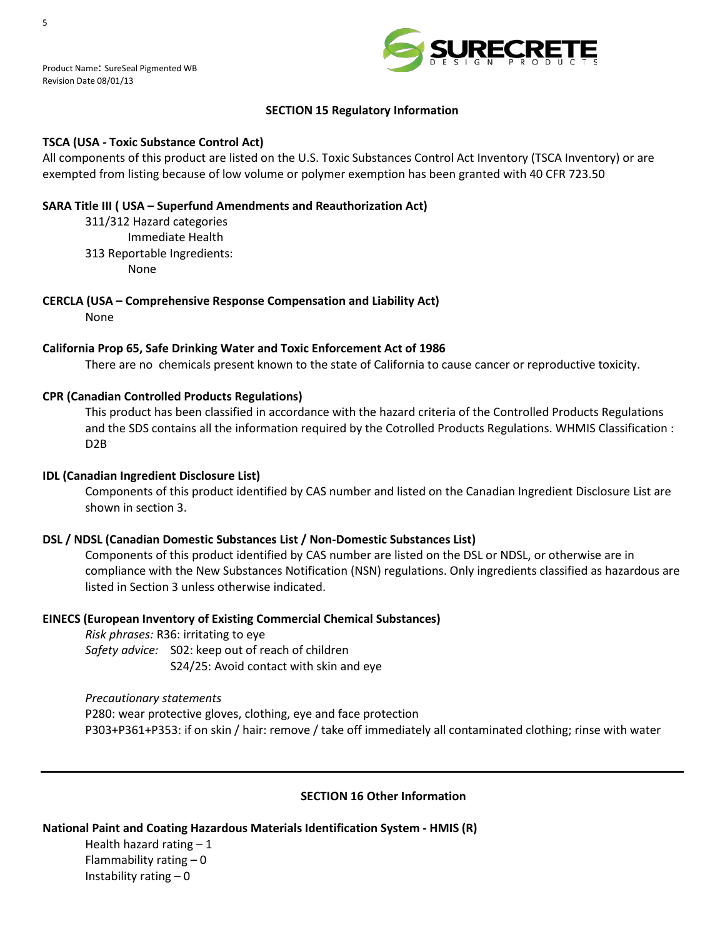

# **SECTION 15 Regulatory Information**

### **TSCA (USA - Toxic Substance Control Act)**

All components of this product are listed on the U.S. Toxic Substances Control Act Inventory (TSCA Inventory) or are exempted from listing because of low volume or polymer exemption has been granted with 40 CFR 723.50

### **SARA Title III ( USA – Superfund Amendments and Reauthorization Act)**

311/312 Hazard categories Immediate Health 313 Reportable Ingredients: None

**CERCLA (USA – Comprehensive Response Compensation and Liability Act)** None

### **California Prop 65, Safe Drinking Water and Toxic Enforcement Act of 1986**

There are no chemicals present known to the state of California to cause cancer or reproductive toxicity.

### **CPR (Canadian Controlled Products Regulations)**

This product has been classified in accordance with the hazard criteria of the Controlled Products Regulations and the SDS contains all the information required by the Cotrolled Products Regulations. WHMIS Classification : D2B

#### **IDL (Canadian Ingredient Disclosure List)**

Components of this product identified by CAS number and listed on the Canadian Ingredient Disclosure List are shown in section 3.

#### **DSL / NDSL (Canadian Domestic Substances List / Non-Domestic Substances List)**

Components of this product identified by CAS number are listed on the DSL or NDSL, or otherwise are in compliance with the New Substances Notification (NSN) regulations. Only ingredients classified as hazardous are listed in Section 3 unless otherwise indicated.

#### **EINECS (European Inventory of Existing Commercial Chemical Substances)**

*Risk phrases:* R36: irritating to eye *Safety advice:* S02: keep out of reach of children S24/25: Avoid contact with skin and eye

*Precautionary statements* P280: wear protective gloves, clothing, eye and face protection P303+P361+P353: if on skin / hair: remove / take off immediately all contaminated clothing; rinse with water

#### **SECTION 16 Other Information**

#### **National Paint and Coating Hazardous Materials Identification System - HMIS (R)**

Health hazard rating  $-1$ Flammability rating  $-0$ Instability rating – 0